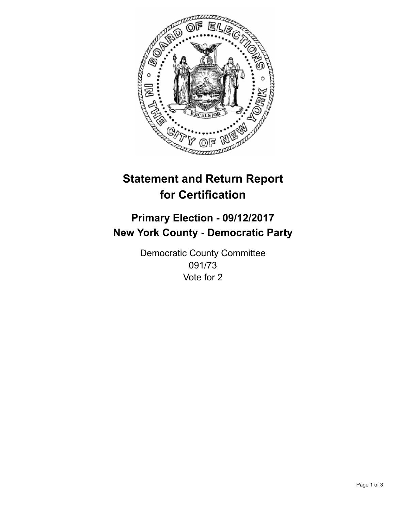

## **Statement and Return Report for Certification**

## **Primary Election - 09/12/2017 New York County - Democratic Party**

Democratic County Committee 091/73 Vote for 2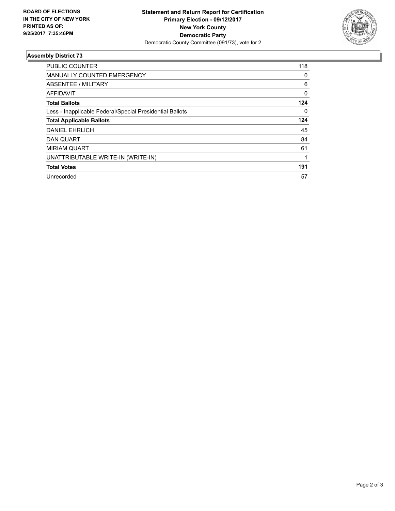

## **Assembly District 73**

| <b>PUBLIC COUNTER</b>                                    | 118      |
|----------------------------------------------------------|----------|
| <b>MANUALLY COUNTED EMERGENCY</b>                        | 0        |
| ABSENTEE / MILITARY                                      | 6        |
| <b>AFFIDAVIT</b>                                         | $\Omega$ |
| <b>Total Ballots</b>                                     | 124      |
| Less - Inapplicable Federal/Special Presidential Ballots | 0        |
| <b>Total Applicable Ballots</b>                          | 124      |
| <b>DANIEL EHRLICH</b>                                    | 45       |
| <b>DAN QUART</b>                                         | 84       |
| <b>MIRIAM QUART</b>                                      | 61       |
| UNATTRIBUTABLE WRITE-IN (WRITE-IN)                       | 1        |
| <b>Total Votes</b>                                       | 191      |
| Unrecorded                                               | 57       |